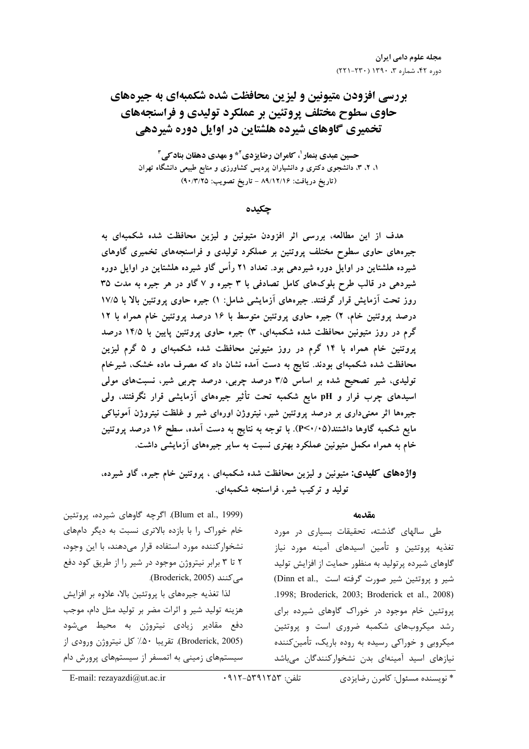بررسی افزودن متیونین و لیزین محافظت شده شکمبهای به جیرههای حاوی سطوح مختلف پروتئین بر عملکرد تولیدی و فراسنجههای تخمیری گاوهای شیرده هلشتاین در اوایل دوره شیردهی

حسین عبدی بنمار<sup> ۱</sup>، کامران رضایزدی<sup>۲</sup>\* و مهدی دهقان بناد *ک*ی<sup>۳</sup> ۱، ۲، ۳، دانشجوی دکتری و دانشیاران پردیس کشاورزی و منابع طبیعی دانشگاه تهران (تاريخ دريافت: ۸۹/۱۲/۱۶ - تاريخ تصويب: ۹۰/۳/۲۵)

جكىدە

هدف از این مطالعه، بررسی اثر افزودن متیونین و لیزین محافظت شده شکمبهای به جیرههای حاوی سطوح مختلف پروتئین بر عملکرد تولیدی و فراسنجههای تخمیری گاوهای شیرده هلشتاین در اوایل دوره شیردهی بود. تعداد ۲۱ رأس گاو شیرده هلشتاین در اوایل دوره شیردهی در قالب طرح بلوکهای کامل تصادفی با ۳ جیره و ۷ گاو در هر جیره به مدت ۳۵ روز تحت آزمایش قرار گرفتند. جیرههای آزمایشی شامل: ۱) جیره حاوی پروتئین بالا با ۱۷/۵ درصد پروتئین خام، ۲) جیره حاوی پروتئین متوسط با ۱۶ درصد پروتئین خام همراه با ۱۲ گرم در روز متیونین محافظت شده شکمبهای، ۳) جیره حاوی پروتئین پایین با ۱۴/۵ درصد پروتئین خام همراه با ۱۴ گرم در روز متیونین محافظت شده شکمبهای و ۵ گرم لیزین محافظت شده شکمبهای بودند. نتایج به دست آمده نشان داد که مصرف ماده خشک، شیرخام تولیدی، شیر تصحیح شده بر اساس ۳/۵ درصد چربی، درصد چربی شیر، نسبتهای مولی اسیدهای چرب فرار و pH مایع شکمبه تحت تأثیر جیرههای آزمایشی قرار نگرفتند، ولی جیرهها اثر معنیداری بر درصد پروتئین شیر، نیتروژن اورهای شیر و غلظت نیتروژن آمونیاکی مایع شکمبه گاوها داشتند(۳<۰/۰۵). با توجه به نتایج به دست آمده، سطح ۱۶ درصد پروتئین خام به همراه مکمل متیونین عملکرد بهتری نسبت به سایر جیرههای آزمایشی داشت.

واژههای کلیدی: متیونین و لیزین محافظت شده شکمبهای ، پروتئین خام جیره، گاو شیرده، تولید و ترکیب شیر، فراسنجه شکمبهای.

#### مقدمه

طی سالهای گذشته، تحقیقات بسیاری در مورد تغذیه پروتئین و تأمین اسیدهای آمینه مورد نیاز گاوهای شیرده پرتولید به منظور حمایت از افزایش تولید شير وبروتئين شير صورت گرفته است .Dinn et al .1998; Broderick, 2003; Broderick et al., 2008) پروتئین خام موجود در خوراک گاوهای شیرده برای رشد میکروبهای شکمبه ضروری است و پروتئین میکروبی و خوراکی رسیده به روده باریک، تأمینکننده نیازهای اسید آمینهای بدن نشخوارکنندگان میباشد

(Blum et al., 1999). اگرچه گاوهای شیرده، پروتئین خام خوراک ,ا با بازده بالاتری نسبت به دیگر دامهای نشخوارکننده مورد استفاده قرار میدهند، با این وجود، ۲ تا ۳ برابر نیتروژن موجود در شیر را از طریق کود دفع می کنند (Broderick, 2005).

لذا تغذيه جيرههاي با پروتئين بالا، علاوه بر افزايش هزینه تولید شیر و اثرات مضر بر تولید مثل دام، موجب دفع مقادیر زیادی نیتروژن به محیط میشود (Broderick, 2005). تقريبا ۵۰٪ كل نيتروژن ورودي از سیستمهای زمینی به اتمسفر از سیستمهای پرورش دام

\* نويسنده مسئول: کامرن رضايزدي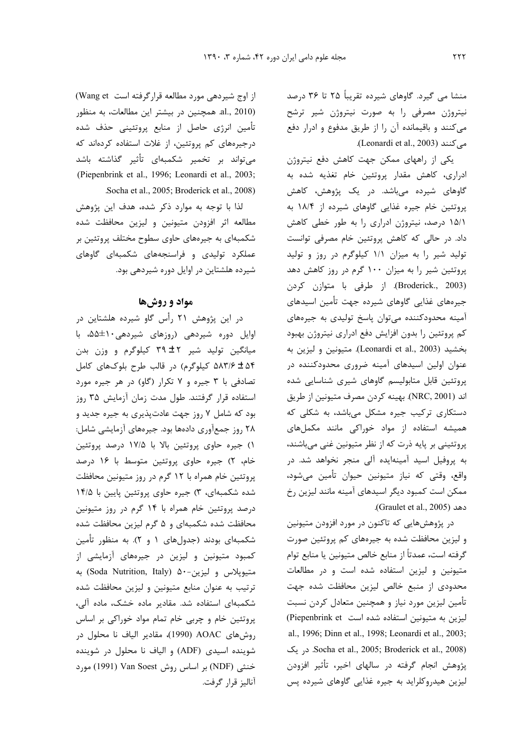منشا می گیرد. گاوهای شیرده تقریباً ۲۵ تا ۳۶ درصد نیتروژن مصرفی را به صورت نیتروژن شیر ترشح می کنند و باقیمانده آن را از طریق مدفوع و ادرار دفع A (Leonardi et al., 2003).

یکی از راههای ممکن جهت کاهش دفع نیتروژن ادراری، کاهش مقدار پروتئین خام تغذیه شده به گاوهای شیرده میباشد. در یک پژوهش، کاهش پروتئین خام جیره غذایی گاوهای شیرده از ۱۸/۴ به ١۵/١ درصد، نيتروژن ادراري را به طور خطى كاهش داد. در حالی که کاهش پروتئین خام مصرفی توانست تولید شیر را به میزان ١/١ کیلوگرم در روز و تولید پروتئین شیر را به میزان ۱۰۰ گرم در روز کاهش دهد (Broderick., 2003). از طرفی با متوازن کردن جیرههای غذایی گاوهای شیرده جهت تأمین اسیدهای آمینه محدودکننده می توان پاسخ تولیدی به جیرههای کم پروتئین را بدون افزایش دفع ادراری نیتروژن بهبود بخشيد (Leonardi et al., 2003). متيونين و ليزين به عنوان اولین اسیدهای آمینه ضروری محدودکننده در پروتئین قابل متابولیسم گاوهای شیری شناسایی شده اند (NRC, 2001). بهينه كردن مصرف متيونين از طريق دستکاری ترکیب جیره مشکل میباشد، به شکلی که همیشه استفاده از مواد خوراکی مانند مکملهای پروتئینی بر پایه ذرت که از نظر متیونین غنی میباشند، به پروفیل اسید آمینهایده آلی منجر نخواهد شد. در واقع، وقتی که نیاز متیونین حیوان تأمین میشود، ممکن است کمبود دیگر اسیدهای آمینه مانند لیزین , خ دهد (Graulet et al., 2005).

در پژوهش.هایی که تاکنون در مورد افزودن متیونین و لیزین محافظت شده به جیرههای کم پروتئین صورت گرفته است، عمدتاً از منابع خالص متيونين يا منابع توام متیونین و لیزین استفاده شده است و در مطالعات محدودی از منبع خالص لیزین محافظت شده جهت تأمین لیزین مورد نیاز و همچنین متعادل کردن نسبت لیزین به متیونین استفاده شده است Piepenbrink et) al., 1996; Dinn et al., 1998; Leonardi et al., 2003; در یک Socha et al., 2005; Broderick et al., 2008). پژوهش انجام گرفته در سالهای اخیر، تأثیر افزودن لیزین هیدروکلراید به جیره غذایی گاوهای شیرده پس

از اوج شیردهی مورد مطالعه قرار گرفته است Wang et) al., 2010) همچنین در بیشتر این مطالعات، به منظور تأمین انرژی حاصل از منابع پروتئینی حذف شده درجیرههای کم پروتئین، از غلات استفاده کردهاند که میتواند بر تخمیر شکمبهای تأثیر گذاشته باشد (Piepenbrink et al., 1996; Leonardi et al., 2003; Socha et al., 2005; Broderick et al., 2008).

لذا با توجه به موارد ذکر شده، هدف این پژوهش مطالعه اثر افزودن متيونين و ليزين محافظت شده شکمبهای به جیرههای حاوی سطوح مختلف پروتئین بر عملکرد تولیدی و فراسنجههای شکمبهای گاوهای شیرده هلشتاین در اوایل دوره شیردهی بود.

# مواد و روشها

در این پژوهش ۲۱ رأس گاو شیرده هلشتاین در اوایل دوره شیردهی (روزهای شیردهی۱۰±۵۵، با میانگین تولید شیر ۳۹±۳۹ کیلوگرم و وزن بدن ۵۴ ± ۵۸۳/۶ کیلوگرم) در قالب طرح بلوکهای کامل تصادفی با ۳ جیره و ۷ تکرار (گاو) در هر جیره مورد استفاده قرار گرفتند. طول مدت زمان آزمایش ۳۵ روز بود که شامل ۷ روز جهت عادتپذیری به جیره جدید و ۲۸ روز جمعآوری دادهها بود. جیرههای آزمایشی شامل: ١) جيره حاوي پروتئين بالا با ١٧/۵ درصد پروتئين خام، ۲) جیره حاوی پروتئین متوسط با ۱۶ درصد پروتئین خام همراه با ۱۲ گرم در روز متیونین محافظت شده شکمبهای، ۳) جیره حاوی پروتئین پایین با ۱۴/۵ درصد پروتئین خام همراه با ۱۴ گرم در روز متیونین محافظت شده شکمبهای و ۵ گرم لیزین محافظت شده شکمبهای بودند (جدولهای ۱ و ۲). به منظور تأمین کمبود متیونین و لیزین در جیرههای آزمایشی از متيوپلاس و ليزين-۵۰ (Soda Nutrition, Italy) به ترتیب به عنوان منابع متیونین و لیزین محافظت شده شکمبهای استفاده شد. مقادیر ماده خشک، ماده آلی، پروتئین خام و چربی خام تمام مواد خوراکی بر اساس روشهای AOAC (1990)، مقادیر الیاف نا محلول در شوینده اسیدی (ADF) و الیاف نا محلول در شوینده خنثی (NDF) بر اساس روش Van Soest (1991) مورد آناليز قرار گرفت.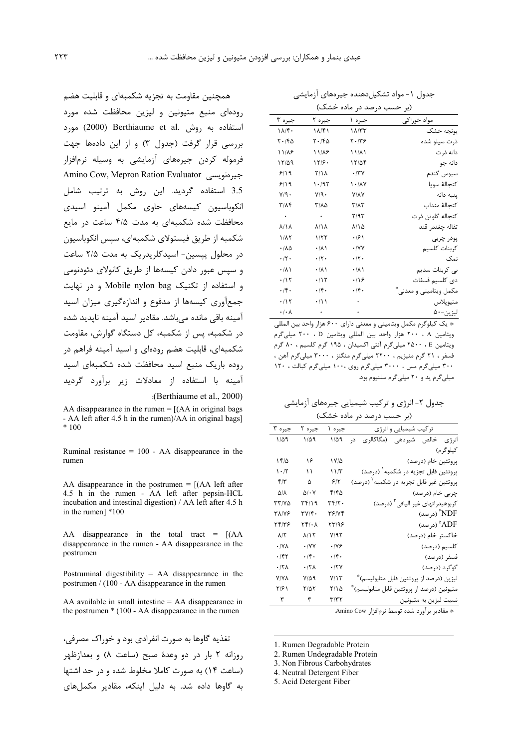| (بر حسب درصد در ماده خشک)         |                                                     |                    |                         |  |  |
|-----------------------------------|-----------------------------------------------------|--------------------|-------------------------|--|--|
| جيره ۳                            | جيره ٢                                              | جيره ١             | مواد خوراکی             |  |  |
| $1\Lambda/f$ .                    | ۱۸/۴۱                                               | $1\Lambda/TT$      | يونجه خشک               |  |  |
| ۲۰/۴۵                             | $\mathbf{Y} \cdot \mathbf{1} \mathbf{F} \mathbf{Q}$ | ۲۰/۳۶              | ذرت سیلو شده            |  |  |
| ۱۱/۸۶                             | ۱۱٬۸۶                                               | ۱۱٬۸۱              | دانه ذرت                |  |  |
| ۱۲/۵۹                             | ۱۲۶۰                                                | ۱۲/۵۴              | دانه جو                 |  |  |
| 9/19                              | ۲/۱۸                                                | $\cdot$ /۳ $\vee$  | سبوس گندم               |  |  |
| 9/19                              | ۱۰/۹۲                                               | ۱۰/۸۷              | كنجالة سويا             |  |  |
| Y/9.                              | ۷/۹۰                                                | <b>Y/AY</b>        | پنبه دانه               |  |  |
| $\mathbf{r}/\mathbf{A}\mathbf{f}$ | ۳/۸۵                                                | ۳/۸۳               | كنحالة منداب            |  |  |
| $\bullet$ .                       | $\sim$ $\sim$                                       | ۲/۹۳               | كنجاله گلوتن ذرت        |  |  |
| $\lambda/\lambda$                 | $\lambda/\lambda$                                   | 8/14               | تفاله چغندر قند         |  |  |
| ۱/۸۲                              | ۱/۲۲                                                | ۰۱۶۱               | پودر چربی               |  |  |
| ۰/۸۵                              | $\cdot$ / $\wedge$ )                                | $\cdot$ /YY        | كربنات كلسيم            |  |  |
| $\cdot$ /٢ $\cdot$                | $\cdot$ /٢ $\cdot$                                  | $\cdot$ /٢ $\cdot$ | نمک                     |  |  |
| $\cdot$ / $\wedge$ )              | $\cdot$ / $\wedge$ )                                | $\cdot/\lambda$    | ہے کربنات سدیم          |  |  |
| .715                              | .715                                                | $\cdot$ /16        | دی کلسیم فسفات          |  |  |
| $.$ /۴.                           | .76                                                 | $\cdot$ /۴.        | مکمل ویتامینی و معدنی ً |  |  |
| .715                              | $\cdot$ / \ \                                       |                    | متيوپلاس                |  |  |
| $\cdot$ / $\cdot$ $\wedge$        | $\bullet$                                           |                    | ليزين-۵۰                |  |  |

\* یک کیلوگرم مکمل ویتامینی و معدنی دارای ۶۰۰ هزار واحد بین المللی ويتامين A ، ٢٠٠ هزار واحد بين المللي ويتامين D ، ٢٠٠ ميلي گرم ويتامين ٢٥٠٠ ، ٢٥٠٠ ميلي گرم آنتي اكسيدان ، ١٩٥ گرم كلسيم ، ٨٠ گرم فسفر ، ۲۱ گرم منیزیم ، ۲۲۰۰ میلی گرم منگنز ، ۳۰۰۰ میلی گرم آهن ، .<br>۳۰۰ میلی گرم مس ، ۳۰۰۰ میلیگرم روی ۱۰۰۰ میلیگرم کبالت ، ۱۲۰ .<br>میلے گرم ید و ۲۰ میلے گرم سلنیوم بود.

جدول ۲- انرژی و ترکیب شیمیایی جیرههای آزمایشی (بر حسب درصد در ماده خشک)

| ترکیب شیمیایی و انرژی                               | جيره ۱      | جيره ٢                                     | جيره ۳                          |
|-----------------------------------------------------|-------------|--------------------------------------------|---------------------------------|
| انرژی خالص شیردهی (مگاکالری<br>در                   | ۱/۵۹        | $1/\Delta$ 9                               | ۱/۵۹                            |
| کیلوگرم)                                            |             |                                            |                                 |
| پروتئين خام (درصد)                                  | ۱۷/۵        | ۱۶                                         | ۱۴۵                             |
| پروتئين قابل تجزيه در شكمبه <sup>۱</sup> (درصد)     | ۱۱/۳        | ۱۱                                         | $\mathcal{N} \cdot \mathcal{N}$ |
| پروتئین غیر قابل تجزیه در شکمبه <sup>۲</sup> (درصد) | ۶۱۲         | ۵                                          | $f/\tau$                        |
| چربی خام (درصد)                                     | ۴۱۴۵        | $\Delta/\cdot$ Y                           | ۵۱۸                             |
| كربوهيدراتهاى غير اليافي <sup>۳</sup> (درصد)        | ۳۴/۲۰       | ۳۴/۱۹                                      | ۳۳/۷۵                           |
| NDF) (درصد)                                         | 37/74       | ۳۷/۴۰                                      | ۳۸/۷۶                           |
| ADF° (درصد)                                         | ۲۳/۹۶       | $\mathbf{Y} \mathbf{F} / \cdot \mathbf{A}$ | ۱۴۱۳۶                           |
| خاكستر خام (درصد)                                   | Y/97        | 1/15                                       | $\lambda/\Upsilon$              |
| كلسيم (درصد)                                        | ۰۱۷۶        | $\cdot$ /YY                                | $\cdot$ / $\vee$ $\wedge$       |
| فسفر (درصد)                                         | $\cdot$ /۴. | $\cdot$ /f.                                | $\cdot$ /۴۲                     |
| گوگرد (درصد)                                        | ۰/۲۷        | $\cdot$ /٢٨                                | $\cdot$ /٢٨                     |
| ليزين (درصد از پروتئين قابل متابوليسم)*             | ۷/۱۳        | ۷/۵۹                                       | <b>Y/YA</b>                     |
| متيونين (درصد از پروتئين قابل متابوليسم)*           | ۲/۱۵        | ۲/۵۲                                       | ۲/۶۱                            |
| نسبت ليزين به متيونين                               | ۳/۳۲        | ٣                                          | ٣                               |
|                                                     |             |                                            |                                 |

\* مقادير برآورد شده توسط نرمافزار Amino Cow.

1. Rumen Degradable Protein

- 2. Rumen Undegradable Protein
- 3. Non Fibrous Carbohydrates
- 4. Neutral Detergent Fiber
- 5. Acid Detergent Fiber

همچنین مقاومت به تجزیه شکمبهای و قابلیت هضم رودهای منبع متیونین و لیزین محافظت شده مورد استفاده به روش .Berthiaume et al (2000) مورد بررسی قرار گرفت (جدول ۳) و از این دادهها جهت فرموله کردن جیرههای آزمایشی به وسیله نرمافزار Amino Cow, Mepron Ration Evaluator 3.5 استفاده گردید. این روش به ترتیب شامل انكوباسيون كيسههاى حاوى مكمل آمينو اسيدى محافظت شده شکمبهای به مدت ۴/۵ ساعت در مایع شکمبه از طریق فیستولای شکمبهای، سیس انکوباسیون در محلول پیسین- اسیدکلریدریک به مدت ۲/۵ ساعت و سپس عبور دادن کیسهها از طریق کانولای دئودنومی و استفاده از تکنیک Mobile nylon bag و در نهایت جمعآوری کیسهها از مدفوع و اندازهگیری میزان اسید آمینه باقی مانده مے باشد. مقادیر اسید آمینه ناپدید شده در شکمبه، پس از شکمبه، کل دستگاه گوارش، مقاومت شکمیهای، قابلیت هضم رودهای و اسید آمینه فراهم در روده باریک منبع اسید محافظت شده شکمبهای اسند آمینه با استفاده از معادلات زیر برآورد گردید

:(Berthiaume et al., 2000)

AA disappearance in the rumen  $= [(AA \text{ in original bags}$ - AA left after 4.5 h in the rumen)/AA in original bags]  $*100$ 

Ruminal resistance =  $100 - AA$  disappearance in the rumen

AA disappearance in the postrumen  $=$  [(AA left after 4.5 h in the rumen - AA left after pepsin-HCL incubation and intestinal digestion) / AA left after 4.5 h in the rumen] \*100

AA disappearance in the total tract =  $[(AA$ disappearance in the rumen - AA disappearance in the postrumen

Postruminal digestibility =  $AA$  disappearance in the postrumen / (100 - AA disappearance in the rumen

AA available in small intestine  $=$  AA disappearance in the postrumen  $*(100 - AA)$  disappearance in the rumen

تغذیه گاوها به صورت انفرادی بود و خوراک مصرفی، روزانه ٢ بار در دو وعدة صبح (ساعت ٨) و بعدازظهر (ساعت ١۴) به صورت كاملا مخلوط شده و در حد اشتها به گاوها داده شد. به دلیل اینکه، مقادیر مکملهای

جدول ۱– مواد تشکیل دهنده جیروهای آزمایشی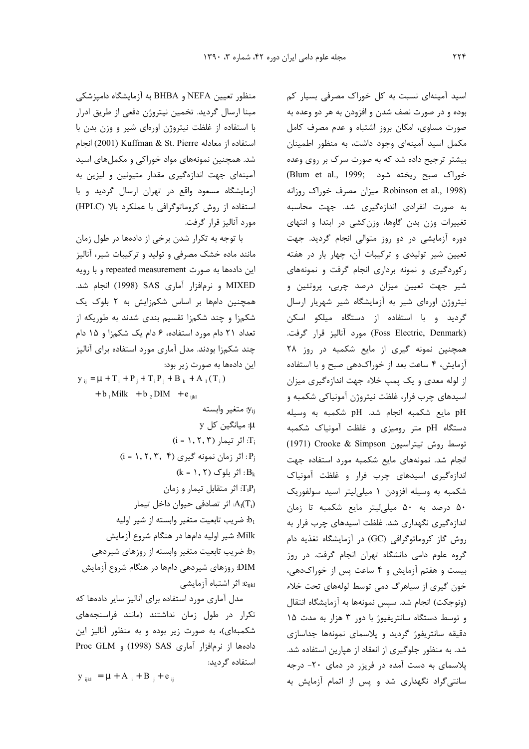اسید آمینهای نسبت به کل خوراک مصرفی بسیار کم بوده و در صورت نصف شدن و افزودن به هر دو وعده به صورت مساوی، امکان بروز اشتباه و عدم مصرف کامل مکمل اسید آمینهای وجود داشت، به منظور اطمینان بیشتر ترجیح داده شد که به صورت سرک بر روی وعده (Blum et al., 1999; خوراک صبح ریخته شود Robinson et al., 1998). میزان مصرف خوراک روزانه به صورت انفرادی اندازهگیری شد. جهت محاسبه تغییرات وزن بدن گاوها، وزن کشی در ابتدا و انتهای دوره آزمایشی در دو روز متوالی انجام گردید. جهت تعیین شیر تولیدی و ترکیبات آن، چهار بار در هفته رکوردگیری و نمونه برداری انجام گرفت و نمونههای شیر جهت تعیین میزان درصد چربی، پروتئین و نیتروژن اورهای شیر به آزمایشگاه شیر شهریار ارسال گردید و با استفاده از دستگاه میلکو اسکن (Foss Electric, Denmark) مورد آنالیز قرار گرفت. همچنین نمونه گیری از مایع شکمبه در روز ٢٨ آزمایش، ۴ ساعت بعد از خوراکدهی صبح و با استفاده از لوله معدي و يک پمپ خلاء جهت اندازهگيري ميزان اسیدهای چرب فرار، غلظت نیتروژن آمونیاکی شکمبه و pH مايع شكمبه انجام شد. pH شكمبه به وسيله دستگاه pH متر رومیزی و غلظت آمونیاک شکمبه توسط روش تيتراسيون Crooke & Simpson (1971) انجام شد. نمونههای مایع شکمبه مورد استفاده جهت اندازهگیری اسیدهای چرب فرار و غلظت آمونیاک شکمبه به وسیله افزودن ۱ میلی لیتر اسید سولفوریک ۵۰ درصد به ۵۰ میلی لیتر مایع شکمبه تا زمان اندازهگیری نگهداری شد. غلظت اسیدهای چرب فرار به روش گاز کروماتوگرافی (GC) در آزمایشگاه تغذیه دام گروه علوم دامی دانشگاه تهران انجام گرفت. در روز بیست و هفتم آزمایش و ۴ ساعت پس از خوراکدهی، خون گیری از سیاهرگ دمی توسط لولههای تحت خلاء (ونوجكت) انجام شد. سپس نمونهها به آزمايشگاه انتقال و توسط دستگاه سانتریفیوژ با دور ۳ هزار به مدت ۱۵ دقیقه سانتریفوژ گردید و پلاسمای نمونهها جداسازی شد. به منظور جلوگیری از انعقاد از هیارین استفاده شد. پلاسمای به دست آمده در فریزر در دمای ۲۰- درجه سانتی گراد نگهداری شد و پس از اتمام آزمایش به

منظور تعیین NEFA و BHBA به آزمایشگاه دامیزشکی مبنا ارسال گردید. تخمین نیتروژن دفعی از طریق ادرار با استفاده از غلظت نیتروژن اورهای شیر و وزن بدن با استفاده از معادله Kuffman & St. Pierre انجام شد. همچنین نمونههای مواد خوراکی و مکملهای اسید آمینهای جهت اندازهگیری مقدار متیونین و لیزین به آزمایشگاه مسعود واقع در تهران ارسال گردید و با استفاده از روش کروماتوگرافی با عملکرد بالا (HPLC) مورد آناليز قرار گرفت.

با توجه به تکرار شدن برخی از دادهها در طول زمان مانند ماده خشک مصرفی و تولید و ترکیبات شیر، آنالیز این دادهها به صورت repeated measurement و با رویه MIXED و نرمافزار آماری SAS (1998) انجام شد. همچنین دامها بر اساس شکمزایش به ۲ بلوک یک شکمزا و چند شکمزا تقسیم بندی شدند به طوریکه از تعداد ۲۱ دام مورد استفاده، ۶ دام یک شکمزا و ۱۵ دام چند شکمزا بودند. مدل آماری مورد استفاده برای آنالیز این دادهها به صورت زیر بود:

 $y_{ij} = \mu + T_i + P_j + T_i P_j + B_k + A_1(T_i)$ +  $b_1$  Milk +  $b_2$  DIM +  $e_{ijkl}$  $y_{ij}$  متغير وابسته y: میانگین کل y  $(i = 1, 7, 7)$  اثر تیمار: T<sub>i</sub>  $(i = 1, 7, 7, 9)$  : اثر زمان نمونه گیری: P<sub>j</sub>  $(k = 1, 7)$  اثر بلوک:  $B_k$ اثر متقابل تيمار و زمان: $T_iP_j$ اثر تصادفي حيوان داخل تيمار: $A_l(T_i)$ ضريب تابعيت متغير وابسته از شير اوليه: Milk: شير اوليه دامها در هنگام شروع آزمايش خریب تابعیت متغیر وابسته از روزهای شیردهی: DIM: روزهای شیردهی دامها در هنگام شروع آزمایش e<sub>ijkl</sub>: اثر اشتباه آزمایشی

مدل آماری مورد استفاده برای آنالیز سایر دادهها که تکرار در طول زمان نداشتند (مانند فراسنجههای شکمبهای)، به صورت زیر بوده و به منظور آنالیز این دادهها از نرمافزار آماری SAS (1998) و Proc GLM استفاده گرديد:

$$
\mathbf{y}_{ijkl} = \mathbf{\mu} + \mathbf{A}_{i} + \mathbf{B}_{j} + \mathbf{e}_{ij}
$$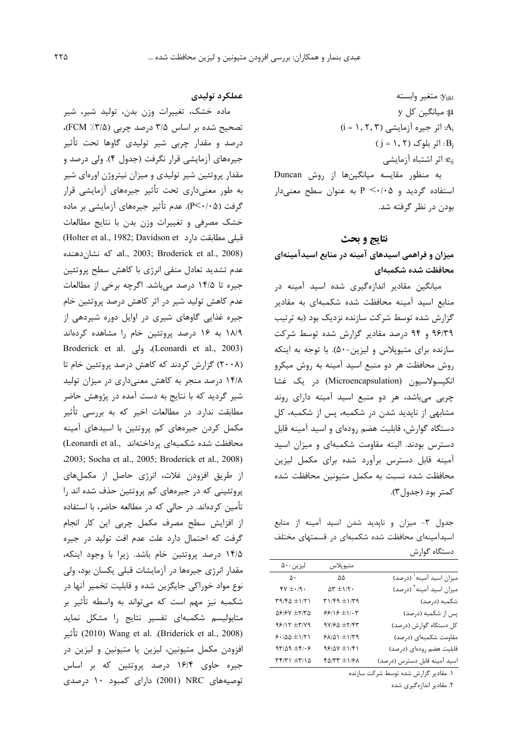y<sub>ijkl</sub>: متغير وابسته y: میانگین کل y  $(i = 1, 7, 7)$  اثر جیره آزمایشی: $A_i$  $(j = 1, 7)$  : اثر بلوک ( j = 1 e<sub>ij</sub>. اثر اشتباه آزمایشی به منظور مقایسه میانگینها از روش Duncan استفاده گردید و P <٠/٠۵ به عنوان سطح معنیدار بودن در نظر گرفته شد.

## نتايج و بحث

میزان و فراهمی اسیدهای آمینه در منابع اسیدآمینهای محافظت شده شكمبهاي

میانگین مقادیر اندازهگیری شده اسید آمینه در منابع اسید آمینه محافظت شده شکمبهای به مقادیر گزارش شده توسط شرکت سازنده نزدیک بود (به ترتیب ۹۶/۳۹ و ۹۴ درصد مقادیر گزارش شده توسط شرکت سازنده برای متیوپلاس و لیزین-۵۰). با توجه به اینکه روش محافظت هر دو منبع اسید آمینه به روش میکرو انکیسولاسیون (Microencapsulation) در یک غشا چربی میباشد، هر دو منبع اسید آمینه دارای روند مشابهی از ناپدید شدن در شکمبه، پس از شکمبه، کل دستگاه گوارش، قابلیت هضم رودهای و اسید آمینه قابل دسترس بودند. البته مقاومت شکمبهای و میزان اسید آمینه قابل دسترس برآورد شده برای مکمل لیزین محافظت شده نسبت به مكمل متيونين محافظت شده كمتر بود (حدول ٣).

جدول ٣- ميزان و ناپديد شدن اسيد آمينه از منابع اسیدآمینهای محافظت شده شکمبهای در قسمتهای مختلف دستگاه گوارش

|                                      | متيو پلاس                                                                  | ليزين-۵۰                                                                              |
|--------------------------------------|----------------------------------------------------------------------------|---------------------------------------------------------------------------------------|
| میزان اسید آمینه <sup>۱</sup> (درصد) | ۵۵                                                                         | $\Delta$ .                                                                            |
| میزان اسید آمینه <sup>۲</sup> (درصد) | $\Delta \mathbf{r} \pm \mathbf{1} / \mathbf{r}$ .                          | $\gamma$ ۱۹۰ $\pm$                                                                    |
| شكمبه (درصد)                         | $\Gamma\gamma(\tau\gamma\pm1)$                                             | $\Gamma \gamma / \Gamma \Delta \pm 1 / \Gamma$ )                                      |
| پس از شکمبه (درصد)                   | $\mathcal{S} \mathcal{S} / \mathcal{S} \pm \mathcal{N} \cdot \mathcal{S}$  | $\Delta \mathcal{S}/\mathcal{S} \mathsf{V} \ \pm \mathsf{Y}/\mathsf{Y} \, \Delta$     |
| کل دستکاه گوارش (درصد)               | $9V/FQ \pm Y/FY$                                                           | $\mathcal{A}\mathcal{S}/\mathcal{A}\mathcal{F}\pm\mathcal{A}/\mathcal{A}\mathcal{A}$  |
| مقاومت شكمبهاى (درصد)                | $\mathcal{F} \wedge \mathcal{N} \wedge \pm \mathcal{N} \wedge \mathcal{N}$ | $5.780 \pm 171$                                                                       |
| قابلیت هضم رودهای (درصد)             | $98/04 \pm 1/51$                                                           | $d\mathbf{r}/\mathbf{r} = \pm \mathbf{r}/\mathbf{r}$                                  |
| اسيد آمينه قابل دسترس (درصد)         | $f\Delta/TT \pm 1/F\Lambda$                                                | $\uparrow\uparrow\uparrow\uparrow\uparrow\downarrow\pm\uparrow\uparrow\uparrow\Delta$ |

۱. مقادیر گزارش شده توسط شرکت سازنده

۲. مقادیر اندازهگیری شده

### عملكرد توليدى

ماده خشک، تغییرات وزن بدن، تولید شیر، شیر تصحیح شده بر اساس ۳/۵ درصد چربی (۲/۵٪ FCM)، درصد و مقدار چربی شیر تولیدی گاوها تحت تأثیر جیرههای آزمایشی قرار نگرفت (جدول ۴). ولی درصد و مقدار پروتئین شیر تولیدی و میزان نیتروژن اورهای شیر به طور معنیداری تحت تأثیر جیرههای آزمایشی قرار گرفت (P<۰/۰۵). عدم تأثیر جیرەهای آزمایشی بر ماده خشک مصرفی و تغییرات وزن بدن با نتایج مطالعات (Holter et al., 1982; Davidson et قبلی مطابقت دارد al., 2003; Broderick et al., 2008). كه نشان دهنده عدم تشدید تعادل منفی انرژی با کاهش سطح پروتئین جیره تا ۱۴/۵ درصد میباشد. اگرچه برخی از مطالعات عدم کاهش تولید شیر در اثر کاهش درصد پروتئین خام جیره غذایی گاوهای شیری در اوایل دوره شیردهی از ۱۸/۹ به ۱۶ درصد پروتئین خام را مشاهده کردهاند Broderick et al., 2003). ولي .(Leonardi et al., 2003) (۲۰۰۸) گزارش کردند که کاهش درصد پروتئین خام تا ۱۴/۸ درصد منجر به کاهش معنیداری در میزان تولید شیر گردید که با نتایج به دست آمده در پژوهش حاضر مطابقت ندارد. در مطالعات اخیر که به بررسی تأثیر مکمل کردن جیرههای کم پروتئین با اسیدهای آمینه (Leonardi et al., محافظت شده شكمبهای پرداختهاند .2003; Socha et al., 2005; Broderick et al., 2008) از طریق افزودن غلات، انرژی حاصل از مکملهای یروتئینی که در جیرههای کم پروتئین حذف شده اند را تأمین کردهاند. در حالی که در مطالعه حاضر، با استفاده از افزایش سطح مصرف مکمل چربی این کار انجام گرفت که احتمال دارد علت عدم افت تولید در جیره ۱۴/۵ درصد پروتئین خام باشد. زیرا با وجود اینکه، مقدار انرژی جیرهها در آزمایشات قبلی یکسان بود، ولی نوع مواد خوراکی جایگزین شده و قابلیت تخمیر آنها در شکمبه نیز مهم است که می تواند به واسطه تأثیر بر متابولیسم شکمبهای تفسیر نتایج را مشکل نماید (2008) Oriderick et al., 2008). Using et al. (Briderick et al., 2008) افزودن مكمل متيونين، ليزين يا متيونين و ليزين در جیره حاوی ۱۶/۴ درصد پروتئین که بر اساس توصیههای NRC (2001) دارای کمبود ۱۰ درصدی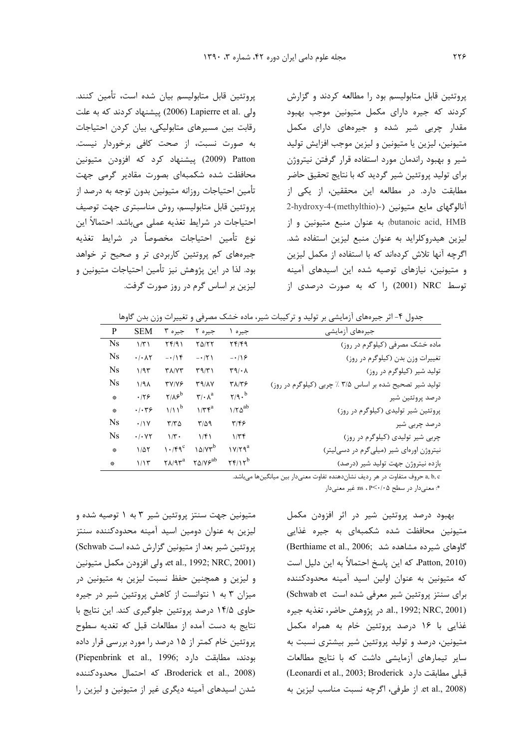پروتئین قابل متابولیسم بود را مطالعه کردند و گزارش کردند که جیره دارای مکمل متیونین موجب بهبود مقدار چربی شیر شده و جیرههای دارای مکمل متيونين، ليزين يا متيونين و ليزين موجب افزايش توليد شیر و بهبود راندمان مورد استفاده قرار گرفتن نیتروژن برای تولید پروتئین شیر گردید که با نتایج تحقیق حاضر مطابقت دارد. در مطالعه این محققین، از یکی از 2-hydroxy-4-(methylthio)-) بايع متيونين (-(arthylthio)-) -butanoic acid, HMB) به عنوان منبع متيونين واز لیزین هیدروکلراید به عنوان منبع لیزین استفاده شد. اگرچه آنها تلاش کردهاند که با استفاده از مکمل لیزین و متیونین، نیازهای توصیه شده این اسیدهای آمینه توسط NRC (2001) را که به صورت درصدی از

يروتئين قابل متابوليسم بيان شده است، تأمين كنند. ولی .Lapierre et al (2006) پیشنهاد کردند که به علت رقابت بین مسیرهای متابولیکی، بیان کردن احتیاجات به صورت نسبت، از صحت کافی برخوردار نیست. Patton (2009) پیشنهاد کرد که افزودن متیونین محافظت شده شکمبهای بصورت مقادیر گرمی جهت تأمين احتياجات روزانه متيونين بدون توجه به درصد از پروتئين قابل متابوليسم، روش مناسبتري جهت توصيف احتیاجات در شرایط تغذیه عملی میباشد. احتمالاً این نوع تأمين احتياجات مخصوصاً در شرايط تغذيه جیرههای کم پروتئین کاربردی تر و صحیح تر خواهد بود. لذا در این پژوهش نیز تأمین احتیاجات متیونین و لیزین بر اساس گرم در روز صورت گرفت.

جدول ۴- اثر جیرههای آزمایشی بر تولید و ترکیبات شیر، ماده خشک مصرفی و تغییرات وزن بدن گاوها

| جيرەهاي آزمايشى                                         | جيره                                     | جیرہ ۲                                     | جيره ٣                           | <b>SEM</b>                        | P             |
|---------------------------------------------------------|------------------------------------------|--------------------------------------------|----------------------------------|-----------------------------------|---------------|
| ماده خشک مصرفی (کیلوگرم در روز)                         | 74/49                                    | $Y\Delta/YY$                               | Yf(9)                            | 1/T1                              | <b>Ns</b>     |
| تغییرات وزن بدن (کیلوگرم در روز)                        | $-19$                                    | $-17$                                      | $-115$                           | $\cdot$ / $\cdot$ $\wedge$ $\vee$ | <b>Ns</b>     |
| تولید شیر (کیلوگرم در روز)                              | $\mathbf{r} \mathbf{a} \cdot \mathbf{r}$ | $\Gamma$ 9/٣١                              | $Y\Lambda/YY$                    | 1/95                              | <b>Ns</b>     |
| تولید شیر تصحیح شده بر اساس ۳/۵ / چربی (کیلوگرم در روز) | ۳۸/۳۶                                    | T9/NV                                      | <b>TY/YS</b>                     | 1/9                               | <b>Ns</b>     |
| درصد پروتئين شير                                        | $\gamma$ /9. <sup>b</sup>                | $\mathbf{r}/\cdot \mathbf{A}^{\mathrm{a}}$ | $Y/\lambda e^{b}$                | .179                              | $\mathcal{G}$ |
| پروتئین شیر تولیدی (کیلوگرم در روز)                     | $1/T\Delta^{ab}$                         | $1/\tau f^a$                               | $1/11^b$                         | .1.79                             | 蔡             |
| درصد چربی شیر                                           | $\mathbf{y}/\mathbf{z}$                  | $T/\Delta$ 9                               | $T/T\Delta$                      | .11V                              | <b>Ns</b>     |
| چربی شیر تولیدی (کیلوگرم در روز)                        | 1/Tf                                     | 1/f1                                       | $1/\tau$ .                       | .1.47                             | Ns            |
| نیتروژن اورهای شیر (میلیگرم در دسی لیتر)                | $1Y/Y$ ۹ <sup>a</sup>                    | $10/Yr^b$                                  | 1.79                             | $1/\Delta Y$                      | 蔡             |
| بازده نیتروژن جهت تولید شیر (درصد)                      | $\mathbf{Y}$                             | $\gamma \Delta/V e^{ab}$                   | $\mathsf{Y}\Lambda/\mathsf{Y}^a$ | 1/15                              | ÷             |

a, b, c حروف متفاوت در هر ردیف نشاندهنده تفاوت معنیدار بین میانگینها می باشد.

\*: معنىدار در سطح ns ، P<٠/٠۵ . معنىدار

بهبود درصد پروتئین شیر در اثر افزودن مکمل متیونین محافظت شده شکمبهای به جیره غذایی گاوهای شیرده مشاهده شد (Berthiame et al., 2006; Patton, 2010)، كه اين پاسخ احتمالاً به اين دليل است که متیونین به عنوان اولین اسید آمینه محدودکننده برای سنتز پروتئین شیر معرفی شده است Schwab et) al., 1992; NRC, 2001). در پژوهش حاضر، تغذیه جیره غذایی با ۱۶ درصد پروتئین خام به همراه مکمل متیونین، درصد و تولید پروتئین شیر بیشتری نسبت به سایر تیمارهای آزمایشی داشت که با نتایج مطالعات (Leonardi et al., 2003; Broderick قبلی مطابقت دارد et al., 2008). از طرفي، اگرچه نسبت مناسب ليزين به

متیونین جهت سنتز پروتئین شیر ۳ به ۱ توصیه شده و ليزين به عنوان دومين اسيد آمينه محدودكننده سنتز پروتئین شیر بعد از متیونین گزارش شده است Schwab) et al., 1992; NRC, 2001). ولي افزودن مكمل متيونين و لیزین و همچنین حفظ نسبت لیزین به متیونین در میزان ۳ به ۱ نتوانست از کاهش پروتئین شیر در جیره حاوی ۱۴/۵ درصد پروتئین جلوگیری کند. این نتایج با نتايج به دست آمده از مطالعات قبل كه تغديه سطوح پروتئین خام کمتر از ۱۵ درصد را مورد بررسی قرار داده (Piepenbrink et al., 1996; مطابقت دارد) Broderick et al., 2008). كه احتمال محدودكننده شدن اسیدهای آمینه دیگری غیر از متیونین و لیزین را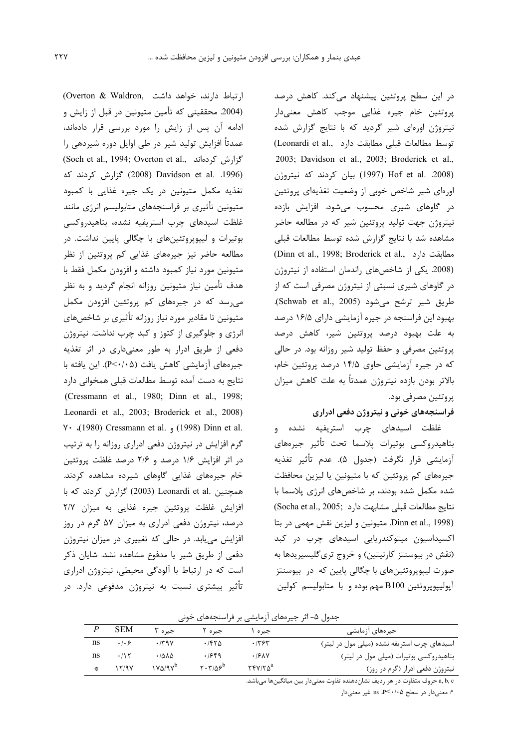در این سطح پروتئین پیشنهاد میکند. کاهش درصد پروتئین خام جیره غذایی موجب کاهش معنیدار نیتروژن اورهای شیر گردید که با نتایج گزارش شده (Leonardi et al., دارد (Leonardi et al., 2003; Davidson et al., 2003; Broderick et al., Hof et al. 2008) بيان كردند كه نيتروژن اورهای شیر شاخص خوبی از وضعیت تغذیهای پروتئین در گاوهای شیری محسوب میشود. افزایش بازده نیتروژن جهت تولید پروتئین شیر که در مطالعه حاضر مشاهده شد با نتايج گزارش شده توسط مطالعات قبلى (Dinn et al., 1998; Broderick et al., مطابقت دارد (2008. یکی از شاخصهای راندمان استفاده از نیتروژن در گاوهای شیری نسبتی از نیتروژن مصرفی است که از طريق شير ترشح مي شود (Schwab et al., 2005). بهبود این فراسنجه در جیره آزمایشی دارای ۱۶/۵ درصد به علت بهبود درصد پروتئین شیر، کاهش درصد پروتئین مصرفی و حفظ تولید شیر روزانه بود. در حالی که در جیره آزمایشی حاوی ۱۴/۵ درصد پروتئین خام، بالاتر بودن بازده نيتروژن عمدتاً به علت كاهش ميزان پروتئين مصرفي بود.

## فراسنجههای خونی و نیتروژن دفعی ادراری

غلظت اسیدهای چرب استریفیه نشده و بتاهيدروكسي بوتيرات پلاسما تحت تأثير جيرههاي آزمايشي قرار نگرفت (جدول ۵). عدم تأثير تغذيه جیرەهای کم پروتئین که با متیونین یا لیزین محافظت شده مکمل شده بودند، بر شاخصهای انرژی پلاسما با نتايج مطالعات قبلي مشابهت دارد (Socha et al., 2005; Dinn et al., 1998). متيونين و ليزين نقش مهمى در بتا اکسیداسیون میتوکندریایی اسیدهای چرب در کبد (نقش در بیوسنتز کارنیتین) و خروج تریگلیسیریدها به صورت ليپويروتئينهاي با چگالي پايين که ادر بيوسنتز آپولیپوپروتئین B100 مهم بوده و با متابولیسم کولین

جدول ۵- اثر جیرههای آزمایشی بر فراسنجههای خونی

| جیرەهای آزمایشی                             | جيره      | جيره ٢                                                       | جیرہ ۳         | <b>SEM</b> |                         |
|---------------------------------------------|-----------|--------------------------------------------------------------|----------------|------------|-------------------------|
| اسیدهای چرب استریفه نشده (میلی مول در لیتر) | ۶۳۶۳.     | ۱۴۲۵                                                         | .79V           | .1.9       | ns                      |
| بتاهیدروکسی بوتیرات (میلی مول در لیتر)      | .19N      | .1949                                                        | .7812          | .115       | ns                      |
| نیتروژن دفعی ادرار (گرم در روز)             | $YYY/X^a$ | $\mathbf{Y} \cdot \mathbf{Y}/\Delta \mathbf{S}^{\mathrm{D}}$ | $1Y\Delta/T^D$ | 12197      | $\frac{2\pi}{\sqrt{3}}$ |
|                                             |           |                                                              |                |            |                         |

a, b, c حروف متفاوت در هر رديف نشاندهنده تفاوت معنىدار بين ميانگينها مىباشد.

\*: معنىدار در سطح ns ،P<٠/٠۵ هـ

ارتباط دارند، خواهد داشت .Overton & Waldron (2004. محققینی که تأمین متیونین در قبل از زایش و ادامه آن پس از زایش را مورد بررسی قرار دادهاند، عمدتاً افزایش تولید شیر در طی اوایل دوره شیردهی را (Soch et al., 1994; Overton et al., گزارش کردهاند گزارش کردند که (2008) Davidson et al. .1996) تغذیه مکمل متیونین در یک جیره غذایی با کمبود متیونین تأثیری بر فراسنجههای متابولیسم انرژی مانند غلظت اسیدهای چرب استریفیه نشده، بتاهیدروکسی بوتيرات و لپيويروتئينهاي با چگالي پايين نداشت. در مطالعه حاضر نیز جیرههای غذایی کم پروتئین از نظر متیونین مورد نیاز کمبود داشته و افزودن مکمل فقط با هدف تأمین نیاز متیونین روزانه انجام گردید و به نظر می رسد که در جیرههای کم پروتئین افزودن مکمل متیونین تا مقادیر مورد نیاز روزانه تأثیری بر شاخصهای انرژی و جلوگیری از کتوز و کبد چرب نداشت. نیتروژن دفعی از طریق ادرار به طور معنیداری در اثر تغذیه جیرههای آزمایشی کاهش یافت (P<۰/۰۵). این یافته با نتايج به دست آمده توسط مطالعات قبلي همخواني دارد (Cressmann et al., 1980; Dinn et al., 1998; Leonardi et al., 2003; Broderick et al., 2008) Y · (1980) Cressmann et al. (1998) Dinn et al. گرم افزایش در نیتروژن دفعی ادراری روزانه را به ترتیب در اثر افزایش ۱/۶ درصد و ۲/۶ درصد غلظت پروتئین خام جیرەھای غذایی گاوھای شیردە مشاھدە کردند. همچنین .Leonardi et al (2003) گزارش کردند که با افزایش غلظت پروتئین جیره غذایی به میزان ۲/۷ درصد، نیتروژن دفعی ادراری به میزان ۵۷ گرم در روز افزایش می یابد. در حالی که تغییری در میزان نیتروژن دفعی از طریق شیر یا مدفوع مشاهده نشد. شایان ذکر است که در ارتباط با آلودگی محیطی، نیتروژن ادراری تأثیر بیشتری نسبت به نیتروژن مدفوعی دارد. در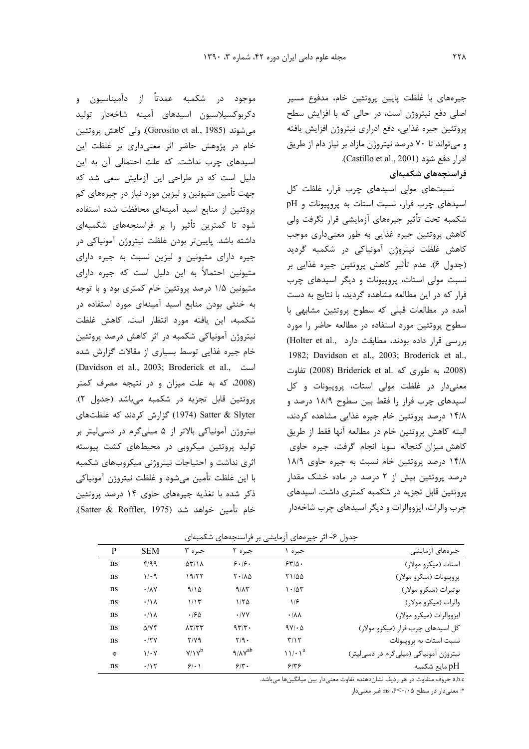جیرههای با غلظت پایین پروتئین خام، مدفوع مسیر اصلی دفع نیتروژن است، در حالی که با افزایش سطح پروتئین جیره غذایی، دفع ادراری نیتروژن افزایش یافته و می تواند تا ۷۰ درصد نیتروژن مازاد بر نیاز دام از طریق ادرار دفع شود (Castillo et al., 2001).

# فراسنجەهای شکمبەای

نسبتهای مولی اسیدهای چرب فرار، غلظت کل اسیدهای چرب فرار، نسبت استات به پروپیونات و pH شكمبه تحت تأثير جيرههاي آزمايشي قرار نگرفت ولي کاهش پروتئین جیره غذایی به طور معنیداری موجب کاهش غلظت نیتروژن آمونیاکی در شکمبه گردید (جدول ۶). عدم تأثير كاهش پروتئين جيره غذايي بر نسبت مولی استات، پروییونات و دیگر اسیدهای چرب فرار که در این مطالعه مشاهده گردید، با نتایج به دست آمده در مطالعات قبلی که سطوح پروتئین مشابهی با سطوح پروتئین مورد استفاده در مطالعه حاضر را مورد بررسی قرار داده بودند، مطابقت دارد ..Holter et al 1982; Davidson et al., 2003; Broderick et al., (2008، به طوری که .Briderick et al تفاوت) تفاوت معنیدار در غلظت مولی استات، پروپیونات و کل اسیدهای چرب فرار را فقط بین سطوح ۱۸/۹ درصد و ۱۴/۸ درصد پروتئین خام جیره غذایی مشاهده کردند، البته كاهش پروتئين خام در مطالعه أنها فقط از طريق كاهش ميزان كنجاله سويا انجام گرفت، جيره حاوي ۱۴/۸ درصد پروتئین خام نسبت به جیره حاوی ۱۸/۹ درصد پروتئین بیش از ۲ درصد در ماده خشک مقدار پروتئین قابل تجزیه در شکمبه کمتری داشت. اسیدهای چرب والرات، ایزووالرات و دیگر اسیدهای چرب شاخهدار

| .<br>دکربوکسیلاسیون اسیدهای آمینه شاخهدار تولید    |
|----------------------------------------------------|
| میشوند (Gorosito et al., 1985). ولی کاهش پروتئین   |
| خام در پژوهش حاضر اثر معنیداری بر غلظت این         |
| اسیدهای چرب نداشت. که علت احتمالی آن به این        |
| دلیل است که در طراحی این آزمایش سعی شد که          |
| جهت تأمین متیونین و لیزین مورد نیاز در جیرههای کم  |
| پروتئین از منابع اسید آمینهای محافظت شده استفاده   |
| شود تا کمترین تأثیر را بر فراسنجههای شکمبهای       |
| داشته باشد. پایینتر بودن غلظت نیتروژن آمونیاکی در  |
| جیره دارای متیونین و لیزین نسبت به جیره دارای      |
| متیونین احتمالاً به این دلیل است که جیره دارای     |
| متیونین ۱/۵ درصد پروتئین خام کمتری بود و با توجه   |
| به خنثی بودن منابع اسید آمینهای مورد استفاده در    |
| شکمبه، این یافته مورد انتظار است. کاهش غلظت        |
| نیتروژن آمونیاکی شکمبه در اثر کاهش درصد پروتئین    |
| خام جیره غذایی توسط بسیاری از مقالات گزارش شده     |
| است ,Davidson et al., 2003; Broderick et al.       |
| (2008، که به علت میزان و در نتیجه مصرف کمتر        |
| پروتئین قابل تجزیه در شکمبه میباشد (جدول ۲).       |
| Satter & Slyter (1974) گزارش کردند که غلظتهای      |
| نیتروژن آمونیاکی بالاتر از ۵ میلیگرم در دسیلیتر بر |
| تولید پروتئین میکروبی در محیطهای کشت پیوسته        |
| اثری نداشت و احتیاجات نیتروژنی میکروبهای شکمبه     |
| با این غلظت تأمین میشود و غلظت نیتروژن آمونیاکی    |
| .<br>ذکر شده با تغذیه جیرههای حاوی ۱۴ درصد پروتئین |
| خام تأمين خواهد شد (Satter & Roffler, 1975).       |

موجود در شکمبه عمدتاً از دآمیناسیون و

جدول ۶- اثر جیرههای آزمایشی بر فراسنجههای شکمبهای

| P  | <b>SEM</b>            | جيره ۳                               | جيره ۲                     | جيره .                 | جيرەهاي آزمايشى                       |
|----|-----------------------|--------------------------------------|----------------------------|------------------------|---------------------------------------|
| ns | f/99                  | $\Delta \Upsilon / \Lambda$          | 9.19.                      | $550 -$                | استات (میکرو مولار)                   |
| ns | $1/\cdot$ 9           | ۱۹/۲۲                                | $Y \cdot / \Lambda \Delta$ | 71/00                  | پروپيونات (ميكرو مولار)               |
| ns | $\cdot$ / $\lambda$ Y | 9/10                                 | 9/17                       | $\cdot$ /5۳            | بوتيرات (ميكرو مولار)                 |
| ns | .11 <sub>A</sub>      | 1/15                                 | 1/50                       | ۱۱۶                    | والرات (میکرو مولار)                  |
| ns | .11 <sub>A</sub>      | .190                                 | $\cdot$ /YY                | $\cdot/\lambda\lambda$ | ايزووالرات (ميكرو مولار)              |
| ns | $\Delta$ /YF          | $\Lambda \Upsilon/\Upsilon \Upsilon$ | 97/T                       | $9V/\cdot \Delta$      | کل اسیدهای چرب فرار (میکرو مولار)     |
| ns | .17Y                  | $Y/Y$ ۹                              | $Y/9$ .                    | T/17                   | نسبت استات به پروپیونات               |
| 曇  | $1/\cdot Y$           | $Y/Y^b$                              | ۹/۸۷ $^{ab}$               | $11/\cdot1^a$          | نیتروژن آمونیاکی (میلیگرم در دسیلیتر) |
| ns | .115                  | 9/1                                  | $5/\tau$ .                 | 5155                   | pH مايع شكمبه                         |

a,b.c حروف متفاوت در هر رديف نشانِدهنده تفاوت معنىدار بين ميانگينها ميباشد.

\*: معنى دار در سطح P<٠/٠۵، ps. غير معنى دار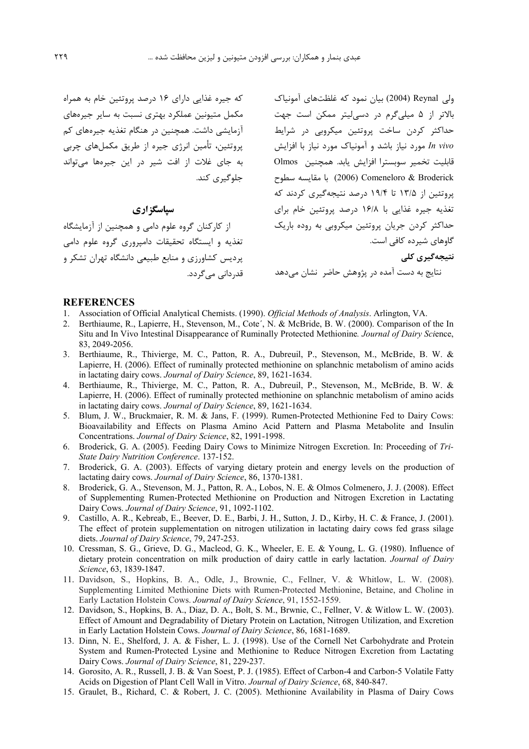که جیره غذایی دارای ۱۶ درصد پروتئین خام به همراه مکمل متیونین عملکرد بهتری نسبت به سایر جیرههای آزمایشی داشت. همچنین در هنگام تغذیه جیرههای کم پروتئین، تأمین انرژی جیره از طریق مکملهای چربی به جای غلات از افت شیر در این جیرهها می تواند حلوگیری کند.

# سیاسگز اری

از کارکنان گروه علوم دامی و همچنین از آزمایشگاه تغذیه و ایستگاه تحقیقات دامیروری گروه علوم دامی پردیس کشاورزی و منابع طبیعی دانشگاه تهران تشکر و قد، دانے ، مے گر دد.

ولی Reynal (2004) بیان نمود که غلظتهای آمونیاک بالاتر از ۵ میلی گرم در دسی لیتر ممکن است جهت حداکثر کردن ساخت پروتئین میکروبی در شرایط In vivo مورد نیاز باشد و آمونیاک مورد نیاز با افزایش قابليت تخمير سوبسترا افزايش يابد. همچنين Olmos (2006) Comeneloro & Broderick با مقايسه سطوح یروتئین از ۱۳/۵ تا ۱۹/۴ درصد نتیجهگیری کردند که تغذیه جیره غذایی با ۱۶/۸ درصد پروتئین خام برای حداکثر کردن جریان پروتئین میکروبی به روده باریک گاوهای شیرده کافی است. نتیجەگیری کلی

نتایج به دست آمده در پژوهش حاضر نشان میدهد

#### **REFERENCES**

- 1. Association of Official Analytical Chemists. (1990). Official Methods of Analysis. Arlington, VA.
- Berthiaume, R., Lapierre, H., Stevenson, M., Cote', N. & McBride, B. W. (2000). Comparison of the In Situ and In Vivo Intestinal Disappearance of Ruminally Protected Methionine. Journal of Dairy Science, 83, 2049-2056.
- Berthiaume, R., Thivierge, M. C., Patton, R. A., Dubreuil, P., Stevenson, M., McBride, B. W. &  $3.$ Lapierre, H. (2006). Effect of ruminally protected methionine on splanchnic metabolism of amino acids in lactating dairy cows. Journal of Dairy Science, 89, 1621-1634.
- 4. Berthiaume, R., Thivierge, M. C., Patton, R. A., Dubreuil, P., Stevenson, M., McBride, B. W. & Lapierre, H. (2006). Effect of ruminally protected methionine on splanchnic metabolism of amino acids in lactating dairy cows. Journal of Dairy Science, 89, 1621-1634.
- 5. Blum, J. W., Bruckmaier, R. M. & Jans, F. (1999). Rumen-Protected Methionine Fed to Dairy Cows: Bioavailability and Effects on Plasma Amino Acid Pattern and Plasma Metabolite and Insulin Concentrations. Journal of Dairy Science, 82, 1991-1998.
- 6. Broderick, G. A. (2005). Feeding Dairy Cows to Minimize Nitrogen Excretion. In: Proceeding of Tri-State Dairy Nutrition Conference. 137-152.
- Broderick, G. A. (2003). Effects of varying dietary protein and energy levels on the production of 7. lactating dairy cows. Journal of Dairy Science, 86, 1370-1381.
- 8. Broderick, G. A., Stevenson, M. J., Patton, R. A., Lobos, N. E. & Olmos Colmenero, J. J. (2008). Effect of Supplementing Rumen-Protected Methionine on Production and Nitrogen Excretion in Lactating Dairy Cows. Journal of Dairy Science, 91, 1092-1102.
- 9. Castillo, A. R., Kebreab, E., Beever, D. E., Barbi, J. H., Sutton, J. D., Kirby, H. C. & France, J. (2001). The effect of protein supplementation on nitrogen utilization in lactating dairy cows fed grass silage diets. Journal of Dairy Science, 79, 247-253.
- 10. Cressman, S. G., Grieve, D. G., Macleod, G. K., Wheeler, E. E. & Young, L. G. (1980). Influence of dietary protein concentration on milk production of dairy cattle in early lactation. Journal of Dairy Science, 63, 1839-1847.
- 11. Davidson, S., Hopkins, B. A., Odle, J., Brownie, C., Fellner, V. & Whitlow, L. W. (2008). Supplementing Limited Methionine Diets with Rumen-Protected Methionine, Betaine, and Choline in Early Lactation Holstein Cows. Journal of Dairy Science, 91, 1552-1559.
- 12. Davidson, S., Hopkins, B. A., Diaz, D. A., Bolt, S. M., Brwnie, C., Fellner, V. & Witlow L. W. (2003). Effect of Amount and Degradability of Dietary Protein on Lactation, Nitrogen Utilization, and Excretion in Early Lactation Holstein Cows. Journal of Dairy Science, 86, 1681-1689.
- 13. Dinn, N. E., Shelford, J. A. & Fisher, L. J. (1998). Use of the Cornell Net Carbohydrate and Protein System and Rumen-Protected Lysine and Methionine to Reduce Nitrogen Excretion from Lactating Dairy Cows. Journal of Dairy Science, 81, 229-237.
- 14. Gorosito, A. R., Russell, J. B. & Van Soest, P. J. (1985). Effect of Carbon-4 and Carbon-5 Volatile Fatty Acids on Digestion of Plant Cell Wall in Vitro. Journal of Dairy Science, 68, 840-847.
- 15. Graulet, B., Richard, C. & Robert, J. C. (2005). Methionine Availability in Plasma of Dairy Cows